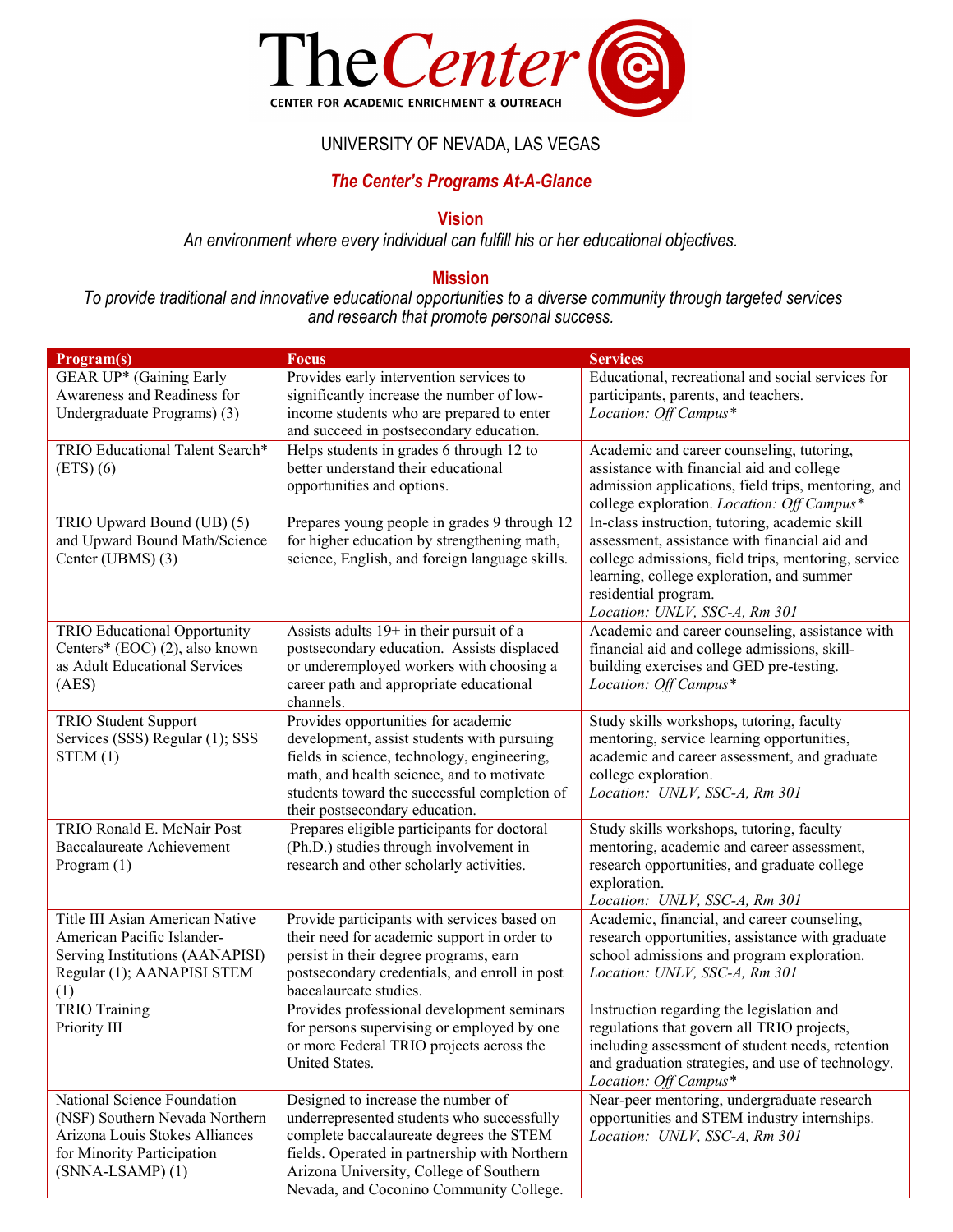

## UNIVERSITY OF NEVADA, LAS VEGAS

# *The Center's Programs At-A-Glance*

## **Vision**

*An environment where every individual can fulfill his or her educational objectives.* 

### **Mission**

*To provide traditional and innovative educational opportunities to a diverse community through targeted services and research that promote personal success.* 

| Program(s)                          | <b>Focus</b>                                   | <b>Services</b>                                     |
|-------------------------------------|------------------------------------------------|-----------------------------------------------------|
| GEAR UP* (Gaining Early             | Provides early intervention services to        | Educational, recreational and social services for   |
| Awareness and Readiness for         | significantly increase the number of low-      | participants, parents, and teachers.                |
| Undergraduate Programs) (3)         | income students who are prepared to enter      | Location: Off Campus*                               |
|                                     | and succeed in postsecondary education.        |                                                     |
| TRIO Educational Talent Search*     | Helps students in grades 6 through 12 to       | Academic and career counseling, tutoring,           |
| $(ETS)$ (6)                         | better understand their educational            | assistance with financial aid and college           |
|                                     | opportunities and options.                     | admission applications, field trips, mentoring, and |
|                                     |                                                | college exploration. Location: Off Campus*          |
| TRIO Upward Bound (UB) (5)          | Prepares young people in grades 9 through 12   | In-class instruction, tutoring, academic skill      |
| and Upward Bound Math/Science       | for higher education by strengthening math,    | assessment, assistance with financial aid and       |
| Center (UBMS) (3)                   | science, English, and foreign language skills. | college admissions, field trips, mentoring, service |
|                                     |                                                | learning, college exploration, and summer           |
|                                     |                                                | residential program.                                |
|                                     |                                                | Location: UNLV, SSC-A, Rm 301                       |
| <b>TRIO Educational Opportunity</b> | Assists adults 19+ in their pursuit of a       | Academic and career counseling, assistance with     |
| Centers* (EOC) (2), also known      | postsecondary education. Assists displaced     | financial aid and college admissions, skill-        |
| as Adult Educational Services       | or underemployed workers with choosing a       | building exercises and GED pre-testing.             |
| (AES)                               | career path and appropriate educational        | Location: Off Campus*                               |
|                                     | channels.                                      |                                                     |
| TRIO Student Support                | Provides opportunities for academic            | Study skills workshops, tutoring, faculty           |
| Services (SSS) Regular (1); SSS     | development, assist students with pursuing     | mentoring, service learning opportunities,          |
| STEM(1)                             | fields in science, technology, engineering,    | academic and career assessment, and graduate        |
|                                     | math, and health science, and to motivate      | college exploration.                                |
|                                     | students toward the successful completion of   | Location: UNLV, SSC-A, Rm 301                       |
|                                     | their postsecondary education.                 |                                                     |
| TRIO Ronald E. McNair Post          | Prepares eligible participants for doctoral    | Study skills workshops, tutoring, faculty           |
| Baccalaureate Achievement           | (Ph.D.) studies through involvement in         | mentoring, academic and career assessment,          |
| Program (1)                         | research and other scholarly activities.       | research opportunities, and graduate college        |
|                                     |                                                | exploration.                                        |
|                                     |                                                | Location: UNLV, SSC-A, Rm 301                       |
| Title III Asian American Native     | Provide participants with services based on    | Academic, financial, and career counseling,         |
| American Pacific Islander-          | their need for academic support in order to    | research opportunities, assistance with graduate    |
| Serving Institutions (AANAPISI)     | persist in their degree programs, earn         | school admissions and program exploration.          |
| Regular (1); AANAPISI STEM          | postsecondary credentials, and enroll in post  | Location: UNLV, SSC-A, Rm 301                       |
| (1)                                 | baccalaureate studies.                         |                                                     |
| <b>TRIO Training</b>                | Provides professional development seminars     | Instruction regarding the legislation and           |
| Priority III                        | for persons supervising or employed by one     | regulations that govern all TRIO projects,          |
|                                     | or more Federal TRIO projects across the       | including assessment of student needs, retention    |
|                                     | United States.                                 | and graduation strategies, and use of technology.   |
|                                     |                                                | Location: Off Campus*                               |
| National Science Foundation         | Designed to increase the number of             | Near-peer mentoring, undergraduate research         |
| (NSF) Southern Nevada Northern      | underrepresented students who successfully     | opportunities and STEM industry internships.        |
| Arizona Louis Stokes Alliances      | complete baccalaureate degrees the STEM        | Location: UNLV, SSC-A, Rm 301                       |
| for Minority Participation          | fields. Operated in partnership with Northern  |                                                     |
| $(SNNA-LSAMP)(1)$                   | Arizona University, College of Southern        |                                                     |
|                                     | Nevada, and Coconino Community College.        |                                                     |